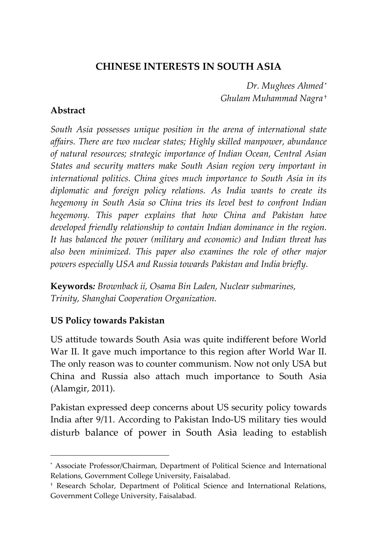# **CHINESE INTERESTS IN SOUTH ASIA**

*Dr. Mughees Ahmed* \* *Ghulam Muhammad Nagra* †

## **Abstract**

*South Asia possesses unique position in the arena of international state affairs. There are two nuclear states; Highly skilled manpower, abundance of natural resources; strategic importance of Indian Ocean, Central Asian States and security matters make South Asian region very important in international politics. China gives much importance to South Asia in its diplomatic and foreign policy relations. As India wants to create its hegemony in South Asia so China tries its level best to confront Indian hegemony. This paper explains that how China and Pakistan have developed friendly relationship to contain Indian dominance in the region. It has balanced the power (military and economic) and Indian threat has also been minimized. This paper also examines the role of other major powers especially USA and Russia towards Pakistan and India briefly.*

**Keywords***: Brownback ii, Osama Bin Laden, Nuclear submarines, Trinity, Shanghai Cooperation Organization.*

# **US Policy towards Pakistan**

 $\overline{a}$ 

US attitude towards South Asia was quite indifferent before World War II. It gave much importance to this region after World War II. The only reason was to counter communism. Now not only USA but China and Russia also attach much importance to South Asia (Alamgir, 2011).

Pakistan expressed deep concerns about US security policy towards India after 9/11. According to Pakistan Indo-US military ties would disturb balance of power in South Asia leading to establish

<sup>\*</sup> Associate Professor/Chairman, Department of Political Science and International Relations, Government College University, Faisalabad.

<sup>†</sup> Research Scholar, Department of Political Science and International Relations, Government College University, Faisalabad.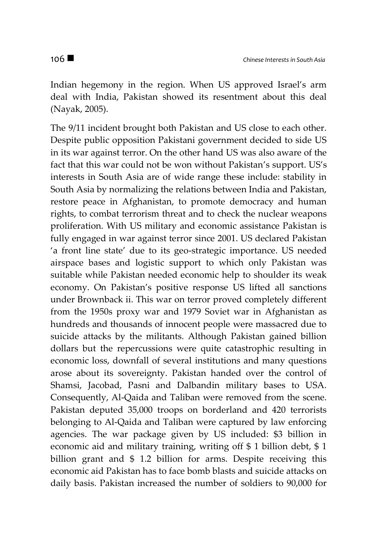Indian hegemony in the region. When US approved Israel's arm deal with India, Pakistan showed its resentment about this deal (Nayak, 2005).

The 9/11 incident brought both Pakistan and US close to each other. Despite public opposition Pakistani government decided to side US in its war against terror. On the other hand US was also aware of the fact that this war could not be won without Pakistan's support. US's interests in South Asia are of wide range these include: stability in South Asia by normalizing the relations between India and Pakistan, restore peace in Afghanistan, to promote democracy and human rights, to combat terrorism threat and to check the nuclear weapons proliferation. With US military and economic assistance Pakistan is fully engaged in war against terror since 2001. US declared Pakistan 'a front line state' due to its geo-strategic importance. US needed airspace bases and logistic support to which only Pakistan was suitable while Pakistan needed economic help to shoulder its weak economy. On Pakistan's positive response US lifted all sanctions under Brownback ii. This war on terror proved completely different from the 1950s proxy war and 1979 Soviet war in Afghanistan as hundreds and thousands of innocent people were massacred due to suicide attacks by the militants. Although Pakistan gained billion dollars but the repercussions were quite catastrophic resulting in economic loss, downfall of several institutions and many questions arose about its sovereignty. Pakistan handed over the control of Shamsi, Jacobad, Pasni and Dalbandin military bases to USA. Consequently, Al-Qaida and Taliban were removed from the scene. Pakistan deputed 35,000 troops on borderland and 420 terrorists belonging to Al-Qaida and Taliban were captured by law enforcing agencies. The war package given by US included: \$3 billion in economic aid and military training, writing off \$ 1 billion debt, \$ 1 billion grant and \$ 1.2 billion for arms. Despite receiving this economic aid Pakistan has to face bomb blasts and suicide attacks on daily basis. Pakistan increased the number of soldiers to 90,000 for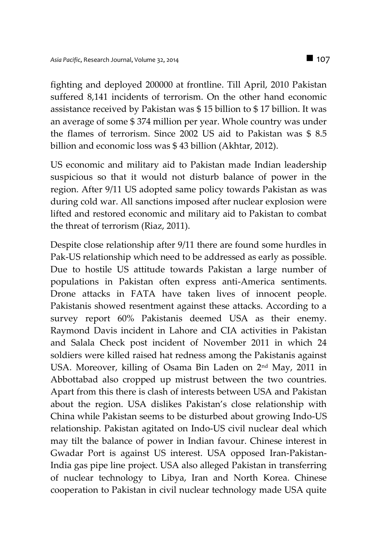fighting and deployed 200000 at frontline. Till April, 2010 Pakistan suffered 8,141 incidents of terrorism. On the other hand economic assistance received by Pakistan was \$ 15 billion to \$ 17 billion. It was an average of some \$ 374 million per year. Whole country was under the flames of terrorism. Since 2002 US aid to Pakistan was \$ 8.5 billion and economic loss was \$ 43 billion (Akhtar, 2012).

US economic and military aid to Pakistan made Indian leadership suspicious so that it would not disturb balance of power in the region. After 9/11 US adopted same policy towards Pakistan as was during cold war. All sanctions imposed after nuclear explosion were lifted and restored economic and military aid to Pakistan to combat the threat of terrorism (Riaz, 2011).

Despite close relationship after 9/11 there are found some hurdles in Pak-US relationship which need to be addressed as early as possible. Due to hostile US attitude towards Pakistan a large number of populations in Pakistan often express anti-America sentiments. Drone attacks in FATA have taken lives of innocent people. Pakistanis showed resentment against these attacks. According to a survey report 60% Pakistanis deemed USA as their enemy. Raymond Davis incident in Lahore and CIA activities in Pakistan and Salala Check post incident of November 2011 in which 24 soldiers were killed raised hat redness among the Pakistanis against USA. Moreover, killing of Osama Bin Laden on 2nd May, 2011 in Abbottabad also cropped up mistrust between the two countries. Apart from this there is clash of interests between USA and Pakistan about the region. USA dislikes Pakistan's close relationship with China while Pakistan seems to be disturbed about growing Indo-US relationship. Pakistan agitated on Indo-US civil nuclear deal which may tilt the balance of power in Indian favour. Chinese interest in Gwadar Port is against US interest. USA opposed Iran-Pakistan-India gas pipe line project. USA also alleged Pakistan in transferring of nuclear technology to Libya, Iran and North Korea. Chinese cooperation to Pakistan in civil nuclear technology made USA quite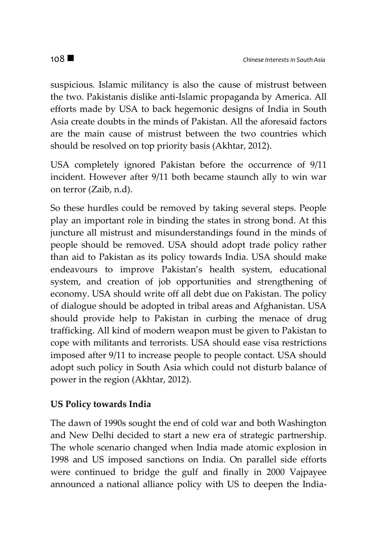suspicious. Islamic militancy is also the cause of mistrust between the two. Pakistanis dislike anti-Islamic propaganda by America. All efforts made by USA to back hegemonic designs of India in South Asia create doubts in the minds of Pakistan. All the aforesaid factors are the main cause of mistrust between the two countries which should be resolved on top priority basis (Akhtar, 2012).

USA completely ignored Pakistan before the occurrence of 9/11 incident. However after 9/11 both became staunch ally to win war on terror (Zaib, n.d).

So these hurdles could be removed by taking several steps. People play an important role in binding the states in strong bond. At this juncture all mistrust and misunderstandings found in the minds of people should be removed. USA should adopt trade policy rather than aid to Pakistan as its policy towards India. USA should make endeavours to improve Pakistan's health system, educational system, and creation of job opportunities and strengthening of economy. USA should write off all debt due on Pakistan. The policy of dialogue should be adopted in tribal areas and Afghanistan. USA should provide help to Pakistan in curbing the menace of drug trafficking. All kind of modern weapon must be given to Pakistan to cope with militants and terrorists. USA should ease visa restrictions imposed after 9/11 to increase people to people contact. USA should adopt such policy in South Asia which could not disturb balance of power in the region (Akhtar, 2012).

### **US Policy towards India**

The dawn of 1990s sought the end of cold war and both Washington and New Delhi decided to start a new era of strategic partnership. The whole scenario changed when India made atomic explosion in 1998 and US imposed sanctions on India. On parallel side efforts were continued to bridge the gulf and finally in 2000 Vajpayee announced a national alliance policy with US to deepen the India-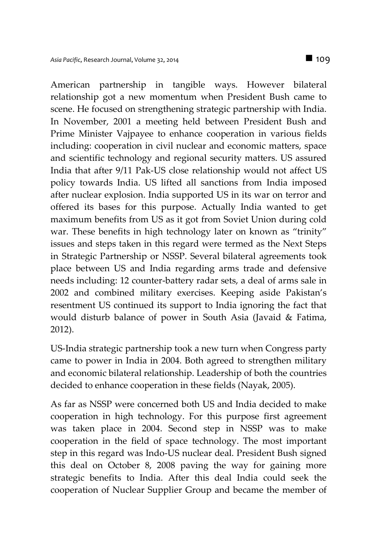American partnership in tangible ways. However bilateral relationship got a new momentum when President Bush came to scene. He focused on strengthening strategic partnership with India. In November, 2001 a meeting held between President Bush and Prime Minister Vajpayee to enhance cooperation in various fields including: cooperation in civil nuclear and economic matters, space and scientific technology and regional security matters. US assured India that after 9/11 Pak-US close relationship would not affect US policy towards India. US lifted all sanctions from India imposed after nuclear explosion. India supported US in its war on terror and offered its bases for this purpose. Actually India wanted to get maximum benefits from US as it got from Soviet Union during cold war. These benefits in high technology later on known as "trinity" issues and steps taken in this regard were termed as the Next Steps in Strategic Partnership or NSSP. Several bilateral agreements took place between US and India regarding arms trade and defensive needs including: 12 counter-battery radar sets, a deal of arms sale in 2002 and combined military exercises. Keeping aside Pakistan's resentment US continued its support to India ignoring the fact that would disturb balance of power in South Asia (Javaid & Fatima, 2012).

US-India strategic partnership took a new turn when Congress party came to power in India in 2004. Both agreed to strengthen military and economic bilateral relationship. Leadership of both the countries decided to enhance cooperation in these fields (Nayak, 2005).

As far as NSSP were concerned both US and India decided to make cooperation in high technology. For this purpose first agreement was taken place in 2004. Second step in NSSP was to make cooperation in the field of space technology. The most important step in this regard was Indo-US nuclear deal. President Bush signed this deal on October 8, 2008 paving the way for gaining more strategic benefits to India. After this deal India could seek the cooperation of Nuclear Supplier Group and became the member of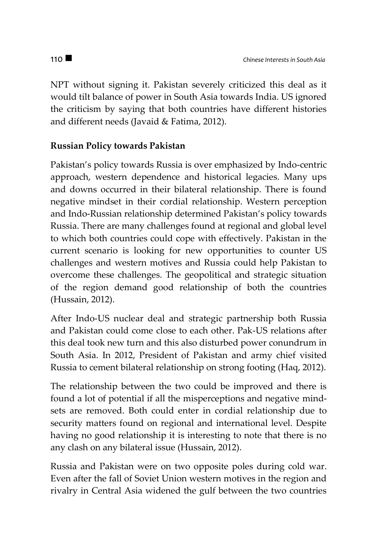NPT without signing it. Pakistan severely criticized this deal as it would tilt balance of power in South Asia towards India. US ignored the criticism by saying that both countries have different histories and different needs (Javaid & Fatima, 2012).

# **Russian Policy towards Pakistan**

Pakistan's policy towards Russia is over emphasized by Indo-centric approach, western dependence and historical legacies. Many ups and downs occurred in their bilateral relationship. There is found negative mindset in their cordial relationship. Western perception and Indo-Russian relationship determined Pakistan's policy towards Russia. There are many challenges found at regional and global level to which both countries could cope with effectively. Pakistan in the current scenario is looking for new opportunities to counter US challenges and western motives and Russia could help Pakistan to overcome these challenges. The geopolitical and strategic situation of the region demand good relationship of both the countries (Hussain, 2012).

After Indo-US nuclear deal and strategic partnership both Russia and Pakistan could come close to each other. Pak-US relations after this deal took new turn and this also disturbed power conundrum in South Asia. In 2012, President of Pakistan and army chief visited Russia to cement bilateral relationship on strong footing (Haq, 2012).

The relationship between the two could be improved and there is found a lot of potential if all the misperceptions and negative mindsets are removed. Both could enter in cordial relationship due to security matters found on regional and international level. Despite having no good relationship it is interesting to note that there is no any clash on any bilateral issue (Hussain, 2012).

Russia and Pakistan were on two opposite poles during cold war. Even after the fall of Soviet Union western motives in the region and rivalry in Central Asia widened the gulf between the two countries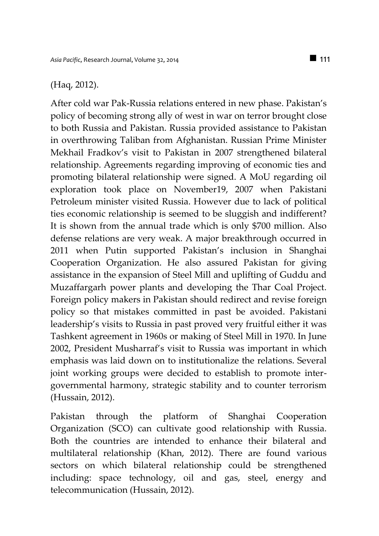#### (Haq, 2012).

After cold war Pak-Russia relations entered in new phase. Pakistan's policy of becoming strong ally of west in war on terror brought close to both Russia and Pakistan. Russia provided assistance to Pakistan in overthrowing Taliban from Afghanistan. Russian Prime Minister Mekhail Fradkov's visit to Pakistan in 2007 strengthened bilateral relationship. Agreements regarding improving of economic ties and promoting bilateral relationship were signed. A MoU regarding oil exploration took place on November19, 2007 when Pakistani Petroleum minister visited Russia. However due to lack of political ties economic relationship is seemed to be sluggish and indifferent? It is shown from the annual trade which is only \$700 million. Also defense relations are very weak. A major breakthrough occurred in 2011 when Putin supported Pakistan's inclusion in Shanghai Cooperation Organization. He also assured Pakistan for giving assistance in the expansion of Steel Mill and uplifting of Guddu and Muzaffargarh power plants and developing the Thar Coal Project. Foreign policy makers in Pakistan should redirect and revise foreign policy so that mistakes committed in past be avoided. Pakistani leadership's visits to Russia in past proved very fruitful either it was Tashkent agreement in 1960s or making of Steel Mill in 1970. In June 2002, President Musharraf's visit to Russia was important in which emphasis was laid down on to institutionalize the relations. Several joint working groups were decided to establish to promote intergovernmental harmony, strategic stability and to counter terrorism (Hussain, 2012).

Pakistan through the platform of Shanghai Cooperation Organization (SCO) can cultivate good relationship with Russia. Both the countries are intended to enhance their bilateral and multilateral relationship (Khan, 2012). There are found various sectors on which bilateral relationship could be strengthened including: space technology, oil and gas, steel, energy and telecommunication (Hussain, 2012).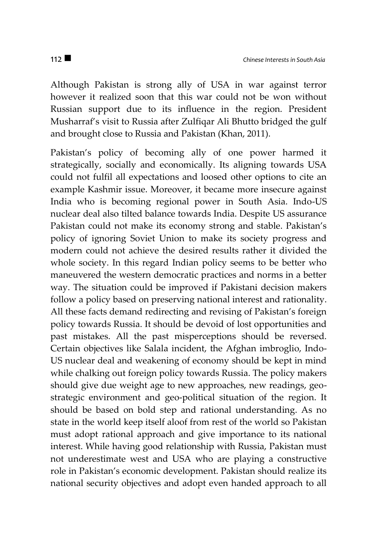Although Pakistan is strong ally of USA in war against terror however it realized soon that this war could not be won without Russian support due to its influence in the region. President Musharraf's visit to Russia after Zulfiqar Ali Bhutto bridged the gulf and brought close to Russia and Pakistan (Khan, 2011).

Pakistan's policy of becoming ally of one power harmed it strategically, socially and economically. Its aligning towards USA could not fulfil all expectations and loosed other options to cite an example Kashmir issue. Moreover, it became more insecure against India who is becoming regional power in South Asia. Indo-US nuclear deal also tilted balance towards India. Despite US assurance Pakistan could not make its economy strong and stable. Pakistan's policy of ignoring Soviet Union to make its society progress and modern could not achieve the desired results rather it divided the whole society. In this regard Indian policy seems to be better who maneuvered the western democratic practices and norms in a better way. The situation could be improved if Pakistani decision makers follow a policy based on preserving national interest and rationality. All these facts demand redirecting and revising of Pakistan's foreign policy towards Russia. It should be devoid of lost opportunities and past mistakes. All the past misperceptions should be reversed. Certain objectives like Salala incident, the Afghan imbroglio, Indo-US nuclear deal and weakening of economy should be kept in mind while chalking out foreign policy towards Russia. The policy makers should give due weight age to new approaches, new readings, geostrategic environment and geo-political situation of the region. It should be based on bold step and rational understanding. As no state in the world keep itself aloof from rest of the world so Pakistan must adopt rational approach and give importance to its national interest. While having good relationship with Russia, Pakistan must not underestimate west and USA who are playing a constructive role in Pakistan's economic development. Pakistan should realize its national security objectives and adopt even handed approach to all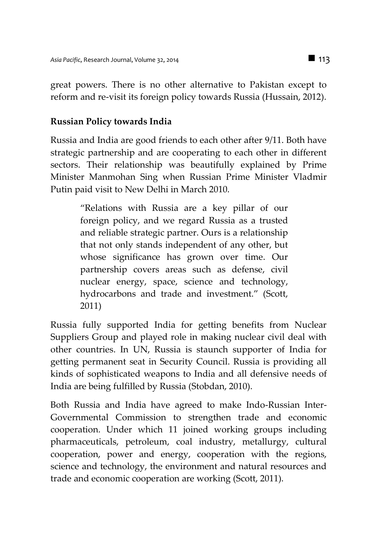great powers. There is no other alternative to Pakistan except to reform and re-visit its foreign policy towards Russia (Hussain, 2012).

## **Russian Policy towards India**

Russia and India are good friends to each other after 9/11. Both have strategic partnership and are cooperating to each other in different sectors. Their relationship was beautifully explained by Prime Minister Manmohan Sing when Russian Prime Minister Vladmir Putin paid visit to New Delhi in March 2010.

> "Relations with Russia are a key pillar of our foreign policy, and we regard Russia as a trusted and reliable strategic partner. Ours is a relationship that not only stands independent of any other, but whose significance has grown over time. Our partnership covers areas such as defense, civil nuclear energy, space, science and technology, hydrocarbons and trade and investment." (Scott, 2011)

Russia fully supported India for getting benefits from Nuclear Suppliers Group and played role in making nuclear civil deal with other countries. In UN, Russia is staunch supporter of India for getting permanent seat in Security Council. Russia is providing all kinds of sophisticated weapons to India and all defensive needs of India are being fulfilled by Russia (Stobdan, 2010).

Both Russia and India have agreed to make Indo-Russian Inter-Governmental Commission to strengthen trade and economic cooperation. Under which 11 joined working groups including pharmaceuticals, petroleum, coal industry, metallurgy, cultural cooperation, power and energy, cooperation with the regions, science and technology, the environment and natural resources and trade and economic cooperation are working (Scott, 2011).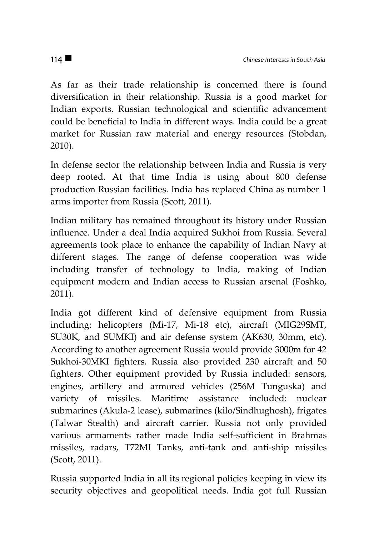As far as their trade relationship is concerned there is found diversification in their relationship. Russia is a good market for Indian exports. Russian technological and scientific advancement could be beneficial to India in different ways. India could be a great market for Russian raw material and energy resources (Stobdan, 2010).

In defense sector the relationship between India and Russia is very deep rooted. At that time India is using about 800 defense production Russian facilities. India has replaced China as number 1 arms importer from Russia (Scott, 2011).

Indian military has remained throughout its history under Russian influence. Under a deal India acquired Sukhoi from Russia. Several agreements took place to enhance the capability of Indian Navy at different stages. The range of defense cooperation was wide including transfer of technology to India, making of Indian equipment modern and Indian access to Russian arsenal (Foshko, 2011).

India got different kind of defensive equipment from Russia including: helicopters (Mi-17, Mi-18 etc), aircraft (MIG29SMT, SU30K, and SUMKI) and air defense system (AK630, 30mm, etc). According to another agreement Russia would provide 3000m for 42 Sukhoi-30MKI fighters. Russia also provided 230 aircraft and 50 fighters. Other equipment provided by Russia included: sensors, engines, artillery and armored vehicles (256M Tunguska) and variety of missiles. Maritime assistance included: nuclear submarines (Akula-2 lease), submarines (kilo/Sindhughosh), frigates (Talwar Stealth) and aircraft carrier. Russia not only provided various armaments rather made India self-sufficient in Brahmas missiles, radars, T72MI Tanks, anti-tank and anti-ship missiles (Scott, 2011).

Russia supported India in all its regional policies keeping in view its security objectives and geopolitical needs. India got full Russian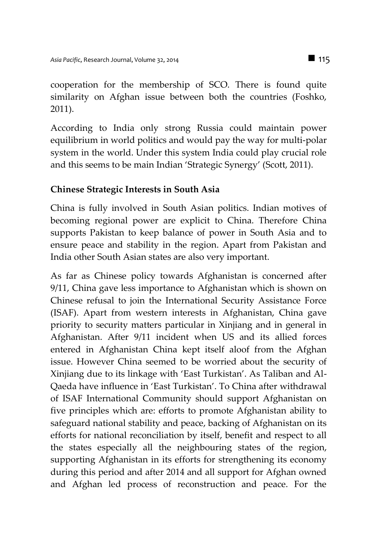cooperation for the membership of SCO. There is found quite similarity on Afghan issue between both the countries (Foshko, 2011).

According to India only strong Russia could maintain power equilibrium in world politics and would pay the way for multi-polar system in the world. Under this system India could play crucial role and this seems to be main Indian 'Strategic Synergy' (Scott, 2011).

# **Chinese Strategic Interests in South Asia**

China is fully involved in South Asian politics. Indian motives of becoming regional power are explicit to China. Therefore China supports Pakistan to keep balance of power in South Asia and to ensure peace and stability in the region. Apart from Pakistan and India other South Asian states are also very important.

As far as Chinese policy towards Afghanistan is concerned after 9/11, China gave less importance to Afghanistan which is shown on Chinese refusal to join the International Security Assistance Force (ISAF). Apart from western interests in Afghanistan, China gave priority to security matters particular in Xinjiang and in general in Afghanistan. After 9/11 incident when US and its allied forces entered in Afghanistan China kept itself aloof from the Afghan issue. However China seemed to be worried about the security of Xinjiang due to its linkage with 'East Turkistan'. As Taliban and Al-Qaeda have influence in 'East Turkistan'. To China after withdrawal of ISAF International Community should support Afghanistan on five principles which are: efforts to promote Afghanistan ability to safeguard national stability and peace, backing of Afghanistan on its efforts for national reconciliation by itself, benefit and respect to all the states especially all the neighbouring states of the region, supporting Afghanistan in its efforts for strengthening its economy during this period and after 2014 and all support for Afghan owned and Afghan led process of reconstruction and peace. For the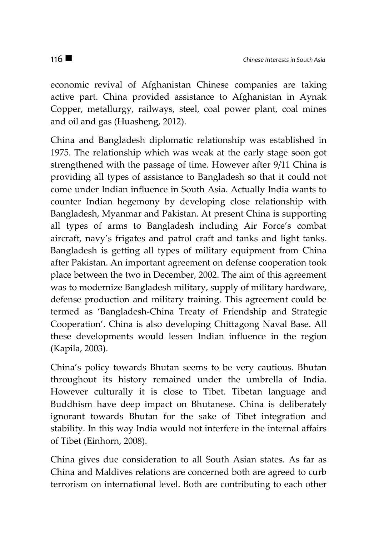economic revival of Afghanistan Chinese companies are taking active part. China provided assistance to Afghanistan in Aynak Copper, metallurgy, railways, steel, coal power plant, coal mines and oil and gas (Huasheng, 2012).

China and Bangladesh diplomatic relationship was established in 1975. The relationship which was weak at the early stage soon got strengthened with the passage of time. However after 9/11 China is providing all types of assistance to Bangladesh so that it could not come under Indian influence in South Asia. Actually India wants to counter Indian hegemony by developing close relationship with Bangladesh, Myanmar and Pakistan. At present China is supporting all types of arms to Bangladesh including Air Force's combat aircraft, navy's frigates and patrol craft and tanks and light tanks. Bangladesh is getting all types of military equipment from China after Pakistan. An important agreement on defense cooperation took place between the two in December, 2002. The aim of this agreement was to modernize Bangladesh military, supply of military hardware, defense production and military training. This agreement could be termed as 'Bangladesh-China Treaty of Friendship and Strategic Cooperation'. China is also developing Chittagong Naval Base. All these developments would lessen Indian influence in the region (Kapila, 2003).

China's policy towards Bhutan seems to be very cautious. Bhutan throughout its history remained under the umbrella of India. However culturally it is close to Tibet. Tibetan language and Buddhism have deep impact on Bhutanese. China is deliberately ignorant towards Bhutan for the sake of Tibet integration and stability. In this way India would not interfere in the internal affairs of Tibet (Einhorn, 2008).

China gives due consideration to all South Asian states. As far as China and Maldives relations are concerned both are agreed to curb terrorism on international level. Both are contributing to each other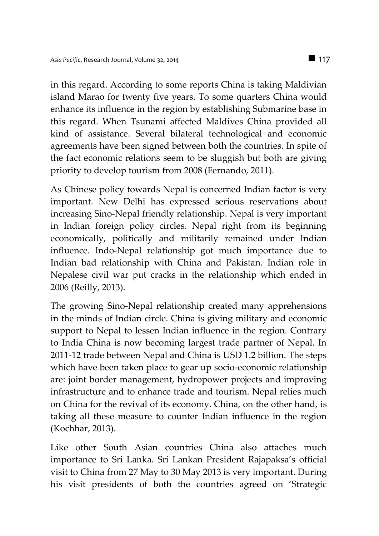in this regard. According to some reports China is taking Maldivian island Marao for twenty five years. To some quarters China would enhance its influence in the region by establishing Submarine base in this regard. When Tsunami affected Maldives China provided all kind of assistance. Several bilateral technological and economic agreements have been signed between both the countries. In spite of the fact economic relations seem to be sluggish but both are giving priority to develop tourism from 2008 (Fernando, 2011).

As Chinese policy towards Nepal is concerned Indian factor is very important. New Delhi has expressed serious reservations about increasing Sino-Nepal friendly relationship. Nepal is very important in Indian foreign policy circles. Nepal right from its beginning economically, politically and militarily remained under Indian influence. Indo-Nepal relationship got much importance due to Indian bad relationship with China and Pakistan. Indian role in Nepalese civil war put cracks in the relationship which ended in 2006 (Reilly, 2013).

The growing Sino-Nepal relationship created many apprehensions in the minds of Indian circle. China is giving military and economic support to Nepal to lessen Indian influence in the region. Contrary to India China is now becoming largest trade partner of Nepal. In 2011-12 trade between Nepal and China is USD 1.2 billion. The steps which have been taken place to gear up socio-economic relationship are: joint border management, hydropower projects and improving infrastructure and to enhance trade and tourism. Nepal relies much on China for the revival of its economy. China, on the other hand, is taking all these measure to counter Indian influence in the region (Kochhar, 2013).

Like other South Asian countries China also attaches much importance to Sri Lanka. Sri Lankan President Rajapaksa's official visit to China from 27 May to 30 May 2013 is very important. During his visit presidents of both the countries agreed on 'Strategic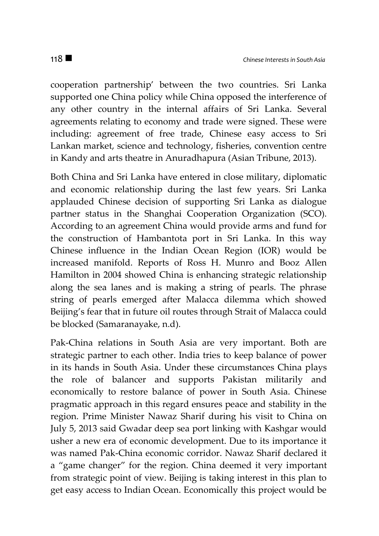cooperation partnership' between the two countries. Sri Lanka supported one China policy while China opposed the interference of any other country in the internal affairs of Sri Lanka. Several agreements relating to economy and trade were signed. These were including: agreement of free trade, Chinese easy access to Sri Lankan market, science and technology, fisheries, convention centre in Kandy and arts theatre in Anuradhapura (Asian Tribune, 2013).

Both China and Sri Lanka have entered in close military, diplomatic and economic relationship during the last few years. Sri Lanka applauded Chinese decision of supporting Sri Lanka as dialogue partner status in the Shanghai Cooperation Organization (SCO). According to an agreement China would provide arms and fund for the construction of Hambantota port in Sri Lanka. In this way Chinese influence in the Indian Ocean Region (IOR) would be increased manifold. Reports of Ross H. Munro and Booz Allen Hamilton in 2004 showed China is enhancing strategic relationship along the sea lanes and is making a string of pearls. The phrase string of pearls emerged after Malacca dilemma which showed Beijing's fear that in future oil routes through Strait of Malacca could be blocked (Samaranayake, n.d).

Pak-China relations in South Asia are very important. Both are strategic partner to each other. India tries to keep balance of power in its hands in South Asia. Under these circumstances China plays the role of balancer and supports Pakistan militarily and economically to restore balance of power in South Asia. Chinese pragmatic approach in this regard ensures peace and stability in the region. Prime Minister Nawaz Sharif during his visit to China on July 5, 2013 said Gwadar deep sea port linking with Kashgar would usher a new era of economic development. Due to its importance it was named Pak-China economic corridor. Nawaz Sharif declared it a "game changer" for the region. China deemed it very important from strategic point of view. Beijing is taking interest in this plan to get easy access to Indian Ocean. Economically this project would be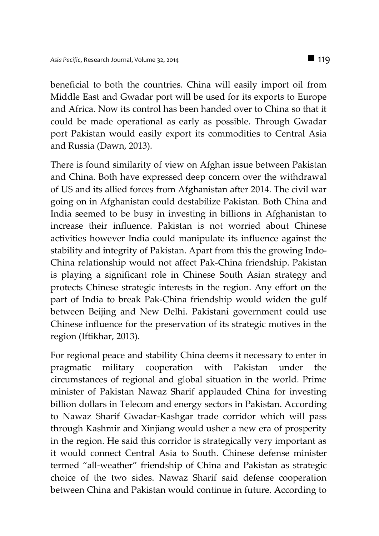beneficial to both the countries. China will easily import oil from Middle East and Gwadar port will be used for its exports to Europe and Africa. Now its control has been handed over to China so that it could be made operational as early as possible. Through Gwadar port Pakistan would easily export its commodities to Central Asia and Russia (Dawn, 2013).

There is found similarity of view on Afghan issue between Pakistan and China. Both have expressed deep concern over the withdrawal of US and its allied forces from Afghanistan after 2014. The civil war going on in Afghanistan could destabilize Pakistan. Both China and India seemed to be busy in investing in billions in Afghanistan to increase their influence. Pakistan is not worried about Chinese activities however India could manipulate its influence against the stability and integrity of Pakistan. Apart from this the growing Indo-China relationship would not affect Pak-China friendship. Pakistan is playing a significant role in Chinese South Asian strategy and protects Chinese strategic interests in the region. Any effort on the part of India to break Pak-China friendship would widen the gulf between Beijing and New Delhi. Pakistani government could use Chinese influence for the preservation of its strategic motives in the region (Iftikhar, 2013).

For regional peace and stability China deems it necessary to enter in pragmatic military cooperation with Pakistan under the circumstances of regional and global situation in the world. Prime minister of Pakistan Nawaz Sharif applauded China for investing billion dollars in Telecom and energy sectors in Pakistan. According to Nawaz Sharif Gwadar-Kashgar trade corridor which will pass through Kashmir and Xinjiang would usher a new era of prosperity in the region. He said this corridor is strategically very important as it would connect Central Asia to South. Chinese defense minister termed "all-weather" friendship of China and Pakistan as strategic choice of the two sides. Nawaz Sharif said defense cooperation between China and Pakistan would continue in future. According to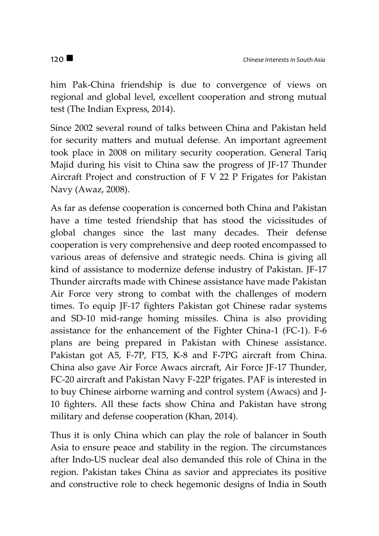him Pak-China friendship is due to convergence of views on regional and global level, excellent cooperation and strong mutual test (The Indian Express, 2014).

Since 2002 several round of talks between China and Pakistan held for security matters and mutual defense. An important agreement took place in 2008 on military security cooperation. General Tariq Majid during his visit to China saw the progress of JF-17 Thunder Aircraft Project and construction of F V 22 P Frigates for Pakistan Navy (Awaz, 2008).

As far as defense cooperation is concerned both China and Pakistan have a time tested friendship that has stood the vicissitudes of global changes since the last many decades. Their defense cooperation is very comprehensive and deep rooted encompassed to various areas of defensive and strategic needs. China is giving all kind of assistance to modernize defense industry of Pakistan. JF-17 Thunder aircrafts made with Chinese assistance have made Pakistan Air Force very strong to combat with the challenges of modern times. To equip JF-17 fighters Pakistan got Chinese radar systems and SD-10 mid-range homing missiles. China is also providing assistance for the enhancement of the Fighter China-1 (FC-1). F-6 plans are being prepared in Pakistan with Chinese assistance. Pakistan got A5, F-7P, FT5, K-8 and F-7PG aircraft from China. China also gave Air Force Awacs aircraft, Air Force JF-17 Thunder, FC-20 aircraft and Pakistan Navy F-22P frigates. PAF is interested in to buy Chinese airborne warning and control system (Awacs) and J-10 fighters. All these facts show China and Pakistan have strong military and defense cooperation (Khan, 2014).

Thus it is only China which can play the role of balancer in South Asia to ensure peace and stability in the region. The circumstances after Indo-US nuclear deal also demanded this role of China in the region. Pakistan takes China as savior and appreciates its positive and constructive role to check hegemonic designs of India in South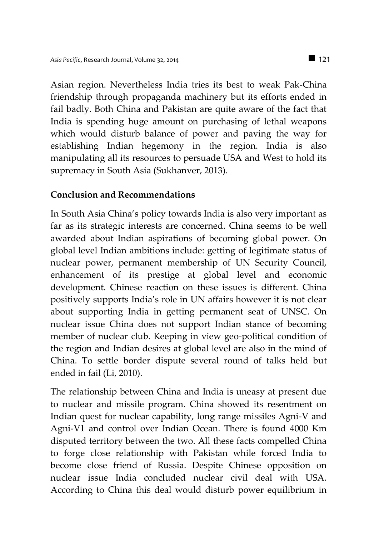Asian region. Nevertheless India tries its best to weak Pak-China friendship through propaganda machinery but its efforts ended in fail badly. Both China and Pakistan are quite aware of the fact that India is spending huge amount on purchasing of lethal weapons which would disturb balance of power and paving the way for establishing Indian hegemony in the region. India is also manipulating all its resources to persuade USA and West to hold its supremacy in South Asia (Sukhanver, 2013).

### **Conclusion and Recommendations**

In South Asia China's policy towards India is also very important as far as its strategic interests are concerned. China seems to be well awarded about Indian aspirations of becoming global power. On global level Indian ambitions include: getting of legitimate status of nuclear power, permanent membership of UN Security Council, enhancement of its prestige at global level and economic development. Chinese reaction on these issues is different. China positively supports India's role in UN affairs however it is not clear about supporting India in getting permanent seat of UNSC. On nuclear issue China does not support Indian stance of becoming member of nuclear club. Keeping in view geo-political condition of the region and Indian desires at global level are also in the mind of China. To settle border dispute several round of talks held but ended in fail (Li, 2010).

The relationship between China and India is uneasy at present due to nuclear and missile program. China showed its resentment on Indian quest for nuclear capability, long range missiles Agni-V and Agni-V1 and control over Indian Ocean. There is found 4000 Km disputed territory between the two. All these facts compelled China to forge close relationship with Pakistan while forced India to become close friend of Russia. Despite Chinese opposition on nuclear issue India concluded nuclear civil deal with USA. According to China this deal would disturb power equilibrium in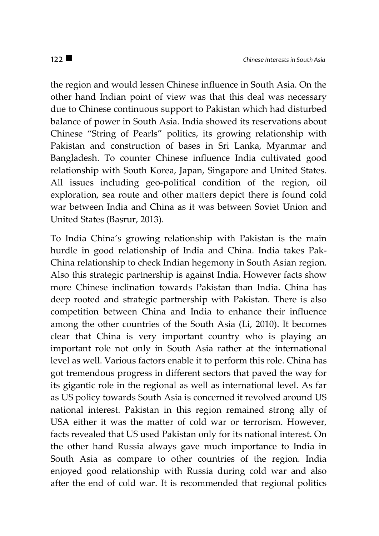the region and would lessen Chinese influence in South Asia. On the other hand Indian point of view was that this deal was necessary due to Chinese continuous support to Pakistan which had disturbed balance of power in South Asia. India showed its reservations about Chinese "String of Pearls" politics, its growing relationship with Pakistan and construction of bases in Sri Lanka, Myanmar and Bangladesh. To counter Chinese influence India cultivated good relationship with South Korea, Japan, Singapore and United States. All issues including geo-political condition of the region, oil exploration, sea route and other matters depict there is found cold war between India and China as it was between Soviet Union and United States (Basrur, 2013).

To India China's growing relationship with Pakistan is the main hurdle in good relationship of India and China. India takes Pak-China relationship to check Indian hegemony in South Asian region. Also this strategic partnership is against India. However facts show more Chinese inclination towards Pakistan than India. China has deep rooted and strategic partnership with Pakistan. There is also competition between China and India to enhance their influence among the other countries of the South Asia (Li, 2010). It becomes clear that China is very important country who is playing an important role not only in South Asia rather at the international level as well. Various factors enable it to perform this role. China has got tremendous progress in different sectors that paved the way for its gigantic role in the regional as well as international level. As far as US policy towards South Asia is concerned it revolved around US national interest. Pakistan in this region remained strong ally of USA either it was the matter of cold war or terrorism. However, facts revealed that US used Pakistan only for its national interest. On the other hand Russia always gave much importance to India in South Asia as compare to other countries of the region. India enjoyed good relationship with Russia during cold war and also after the end of cold war. It is recommended that regional politics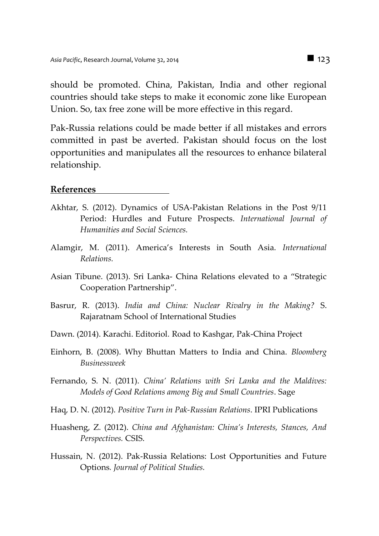should be promoted. China, Pakistan, India and other regional countries should take steps to make it economic zone like European Union. So, tax free zone will be more effective in this regard.

Pak-Russia relations could be made better if all mistakes and errors committed in past be averted. Pakistan should focus on the lost opportunities and manipulates all the resources to enhance bilateral relationship.

#### **References**

- Akhtar, S. (2012). Dynamics of USA-Pakistan Relations in the Post 9/11 Period: Hurdles and Future Prospects. *International Journal of Humanities and Social Sciences.*
- Alamgir, M. (2011). America's Interests in South Asia. *International Relations.*
- Asian Tibune. (2013). Sri Lanka- China Relations elevated to a "Strategic Cooperation Partnership".
- Basrur, R. (2013). *India and China: Nuclear Rivalry in the Making?* S. Rajaratnam School of International Studies
- Dawn. (2014). Karachi. Editoriol*.* Road to Kashgar, Pak-China Project
- Einhorn, B. (2008). Why Bhuttan Matters to India and China. *Bloomberg Businessweek*
- Fernando, S. N. (2011). *China' Relations with Sri Lanka and the Maldives: Models of Good Relations among Big and Small Countries*. Sage
- Haq, D. N. (2012). *Positive Turn in Pak-Russian Relations*. IPRI Publications
- Huasheng, Z. (2012). *China and Afghanistan: China's Interests, Stances, And Perspectives.* CSIS.
- Hussain, N. (2012). Pak-Russia Relations: Lost Opportunities and Future Options*. Journal of Political Studies.*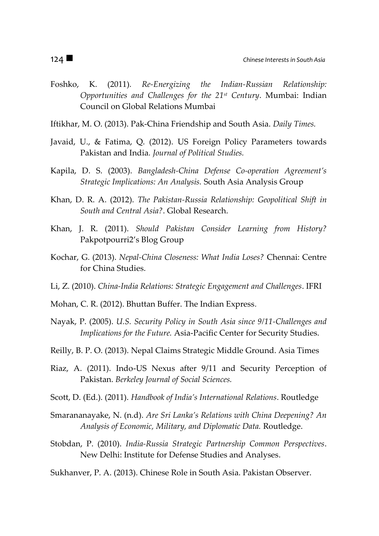- Foshko, K. (2011)*. Re-Energizing the Indian-Russian Relationship: Opportunities and Challenges for the 21st Century*. Mumbai: Indian Council on Global Relations Mumbai
- Iftikhar, M. O. (2013). Pak-China Friendship and South Asia. *Daily Times.*
- Javaid, U., & Fatima, Q. (2012). US Foreign Policy Parameters towards Pakistan and India*. Journal of Political Studies.*
- Kapila, D. S. (2003). *Bangladesh-China Defense Co-operation Agreement's Strategic Implications: An Analysis.* South Asia Analysis Group
- Khan, D. R. A. (2012). *The Pakistan-Russia Relationship: Geopolitical Shift in South and Central Asia?*. Global Research.
- Khan, J. R. (2011). *Should Pakistan Consider Learning from History?* Pakpotpourri2's Blog Group
- Kochar, G. (2013). *Nepal-China Closeness: What India Loses?* Chennai: Centre for China Studies.
- Li, Z. (2010). *China-India Relations: Strategic Engagement and Challenges*. IFRI
- Mohan, C. R. (2012). Bhuttan Buffer. The Indian Express*.*
- Nayak, P. (2005). *U.S. Security Policy in South Asia since 9/11-Challenges and Implications for the Future.* Asia-Pacific Center for Security Studies.
- Reilly, B. P. O. (2013). Nepal Claims Strategic Middle Ground. Asia Times
- Riaz, A. (2011). Indo-US Nexus after 9/11 and Security Perception of Pakistan. *Berkeley Journal of Social Sciences.*
- Scott, D. (Ed.). (2011). *Handbook of India's International Relations*. Routledge
- Smarananayake, N. (n.d). *Are Sri Lanka's Relations with China Deepening? An Analysis of Economic, Military, and Diplomatic Data.* Routledge.
- Stobdan, P. (2010). *India-Russia Strategic Partnership Common Perspectives*. New Delhi: Institute for Defense Studies and Analyses.

Sukhanver, P. A. (2013). Chinese Role in South Asia. Pakistan Observer.